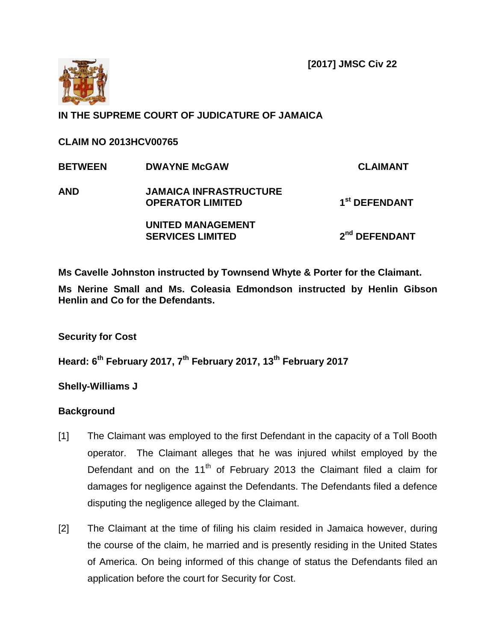**[2017] JMSC Civ 22**



# **IN THE SUPREME COURT OF JUDICATURE OF JAMAICA**

**CLAIM NO 2013HCV00765**

| <b>BETWEEN</b> | <b>DWAYNE McGAW</b>                                      | <b>CLAIMANT</b>           |
|----------------|----------------------------------------------------------|---------------------------|
| <b>AND</b>     | <b>JAMAICA INFRASTRUCTURE</b><br><b>OPERATOR LIMITED</b> | 1 <sup>st</sup> DEFENDANT |
|                | <b>UNITED MANAGEMENT</b><br><b>SERVICES LIMITED</b>      | 2 <sup>nd</sup> DEFENDANT |

**Ms Cavelle Johnston instructed by Townsend Whyte & Porter for the Claimant. Ms Nerine Small and Ms. Coleasia Edmondson instructed by Henlin Gibson Henlin and Co for the Defendants.**

**Security for Cost**

**Heard: 6 th February 2017, 7th February 2017, 13th February 2017**

**Shelly-Williams J**

### **Background**

- [1] The Claimant was employed to the first Defendant in the capacity of a Toll Booth operator. The Claimant alleges that he was injured whilst employed by the Defendant and on the  $11<sup>th</sup>$  of February 2013 the Claimant filed a claim for damages for negligence against the Defendants. The Defendants filed a defence disputing the negligence alleged by the Claimant.
- [2] The Claimant at the time of filing his claim resided in Jamaica however, during the course of the claim, he married and is presently residing in the United States of America. On being informed of this change of status the Defendants filed an application before the court for Security for Cost.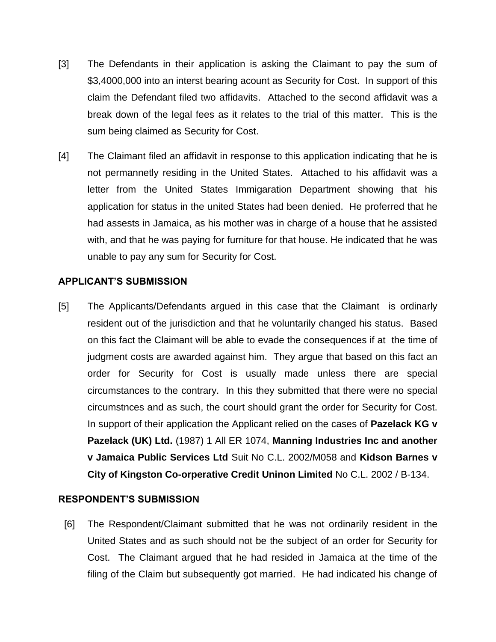- [3] The Defendants in their application is asking the Claimant to pay the sum of \$3,4000,000 into an interst bearing acount as Security for Cost. In support of this claim the Defendant filed two affidavits. Attached to the second affidavit was a break down of the legal fees as it relates to the trial of this matter. This is the sum being claimed as Security for Cost.
- [4] The Claimant filed an affidavit in response to this application indicating that he is not permannetly residing in the United States. Attached to his affidavit was a letter from the United States Immigaration Department showing that his application for status in the united States had been denied. He proferred that he had assests in Jamaica, as his mother was in charge of a house that he assisted with, and that he was paying for furniture for that house. He indicated that he was unable to pay any sum for Security for Cost.

#### **APPLICANT'S SUBMISSION**

[5] The Applicants/Defendants argued in this case that the Claimant is ordinarly resident out of the jurisdiction and that he voluntarily changed his status. Based on this fact the Claimant will be able to evade the consequences if at the time of judgment costs are awarded against him. They argue that based on this fact an order for Security for Cost is usually made unless there are special circumstances to the contrary. In this they submitted that there were no special circumstnces and as such, the court should grant the order for Security for Cost. In support of their application the Applicant relied on the cases of **Pazelack KG v Pazelack (UK) Ltd.** (1987) 1 All ER 1074, **Manning Industries Inc and another v Jamaica Public Services Ltd** Suit No C.L. 2002/M058 and **Kidson Barnes v City of Kingston Co-orperative Credit Uninon Limited** No C.L. 2002 / B-134.

### **RESPONDENT'S SUBMISSION**

[6] The Respondent/Claimant submitted that he was not ordinarily resident in the United States and as such should not be the subject of an order for Security for Cost. The Claimant argued that he had resided in Jamaica at the time of the filing of the Claim but subsequently got married. He had indicated his change of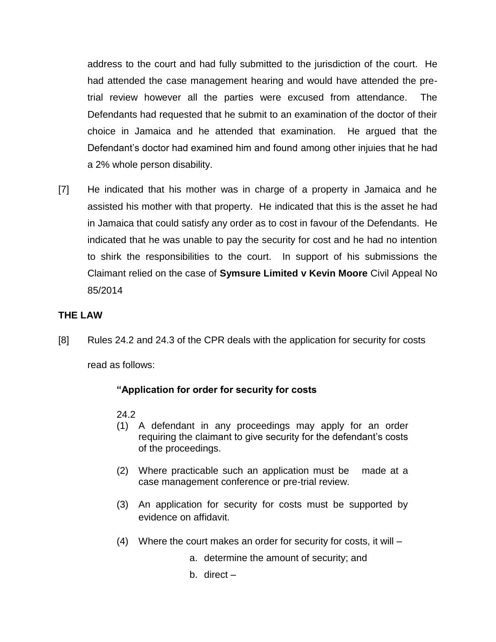address to the court and had fully submitted to the jurisdiction of the court. He had attended the case management hearing and would have attended the pretrial review however all the parties were excused from attendance. The Defendants had requested that he submit to an examination of the doctor of their choice in Jamaica and he attended that examination. He argued that the Defendant's doctor had examined him and found among other injuies that he had a 2% whole person disability.

[7] He indicated that his mother was in charge of a property in Jamaica and he assisted his mother with that property. He indicated that this is the asset he had in Jamaica that could satisfy any order as to cost in favour of the Defendants. He indicated that he was unable to pay the security for cost and he had no intention to shirk the responsibilities to the court. In support of his submissions the Claimant relied on the case of **Symsure Limited v Kevin Moore** Civil Appeal No 85/2014

## **THE LAW**

[8] Rules 24.2 and 24.3 of the CPR deals with the application for security for costs

read as follows:

### **"Application for order for security for costs**

24.2

- (1) A defendant in any proceedings may apply for an order requiring the claimant to give security for the defendant's costs of the proceedings.
- (2) Where practicable such an application must be made at a case management conference or pre-trial review.
- (3) An application for security for costs must be supported by evidence on affidavit.
- (4) Where the court makes an order for security for costs, it will
	- a. determine the amount of security; and
	- b. direct –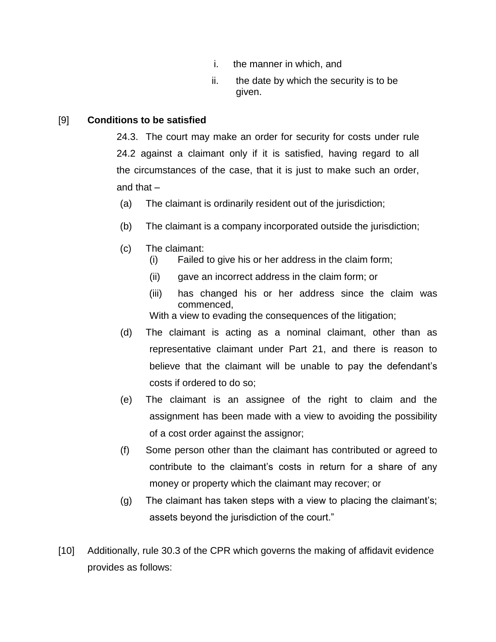- i. the manner in which, and
- ii. the date by which the security is to be given.

### [9] **Conditions to be satisfied**

24.3. The court may make an order for security for costs under rule 24.2 against a claimant only if it is satisfied, having regard to all the circumstances of the case, that it is just to make such an order, and that –

- (a) The claimant is ordinarily resident out of the jurisdiction;
- (b) The claimant is a company incorporated outside the jurisdiction;
- (c) The claimant:
	- (i) Failed to give his or her address in the claim form;
	- (ii) gave an incorrect address in the claim form; or
	- (iii) has changed his or her address since the claim was commenced,

With a view to evading the consequences of the litigation;

- (d) The claimant is acting as a nominal claimant, other than as representative claimant under Part 21, and there is reason to believe that the claimant will be unable to pay the defendant's costs if ordered to do so;
- (e) The claimant is an assignee of the right to claim and the assignment has been made with a view to avoiding the possibility of a cost order against the assignor;
- (f) Some person other than the claimant has contributed or agreed to contribute to the claimant's costs in return for a share of any money or property which the claimant may recover; or
- (g) The claimant has taken steps with a view to placing the claimant's; assets beyond the jurisdiction of the court."
- [10] Additionally, rule 30.3 of the CPR which governs the making of affidavit evidence provides as follows: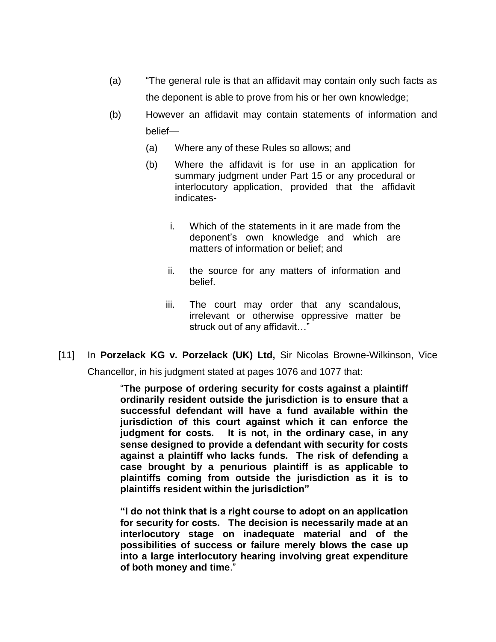- (a) "The general rule is that an affidavit may contain only such facts as the deponent is able to prove from his or her own knowledge;
- (b) However an affidavit may contain statements of information and belief—
	- (a) Where any of these Rules so allows; and
	- (b) Where the affidavit is for use in an application for summary judgment under Part 15 or any procedural or interlocutory application, provided that the affidavit indicates
		- i. Which of the statements in it are made from the deponent's own knowledge and which are matters of information or belief; and
		- ii. the source for any matters of information and belief.
		- iii. The court may order that any scandalous, irrelevant or otherwise oppressive matter be struck out of any affidavit…"
- [11] In **Porzelack KG v. Porzelack (UK) Ltd,** Sir Nicolas Browne-Wilkinson, Vice

Chancellor, in his judgment stated at pages 1076 and 1077 that:

"**The purpose of ordering security for costs against a plaintiff ordinarily resident outside the jurisdiction is to ensure that a successful defendant will have a fund available within the jurisdiction of this court against which it can enforce the judgment for costs. It is not, in the ordinary case, in any sense designed to provide a defendant with security for costs against a plaintiff who lacks funds. The risk of defending a case brought by a penurious plaintiff is as applicable to plaintiffs coming from outside the jurisdiction as it is to plaintiffs resident within the jurisdiction"**

**"I do not think that is a right course to adopt on an application for security for costs. The decision is necessarily made at an interlocutory stage on inadequate material and of the possibilities of success or failure merely blows the case up into a large interlocutory hearing involving great expenditure of both money and time**."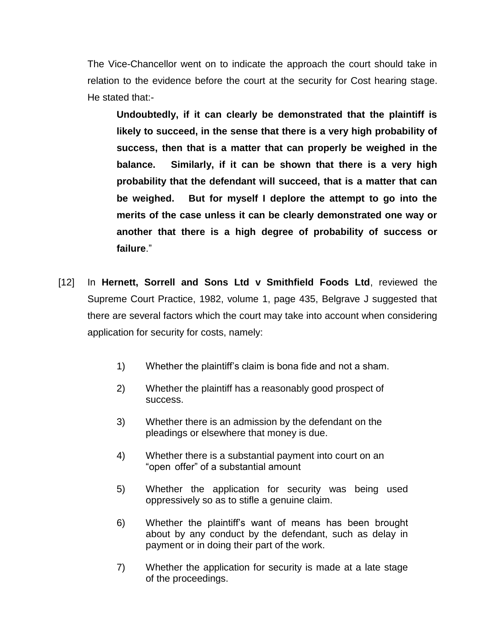The Vice-Chancellor went on to indicate the approach the court should take in relation to the evidence before the court at the security for Cost hearing stage. He stated that:-

**Undoubtedly, if it can clearly be demonstrated that the plaintiff is likely to succeed, in the sense that there is a very high probability of success, then that is a matter that can properly be weighed in the balance. Similarly, if it can be shown that there is a very high probability that the defendant will succeed, that is a matter that can be weighed. But for myself I deplore the attempt to go into the merits of the case unless it can be clearly demonstrated one way or another that there is a high degree of probability of success or failure**."

- [12] In **Hernett, Sorrell and Sons Ltd v Smithfield Foods Ltd**, reviewed the Supreme Court Practice, 1982, volume 1, page 435, Belgrave J suggested that there are several factors which the court may take into account when considering application for security for costs, namely:
	- 1) Whether the plaintiff's claim is bona fide and not a sham.
	- 2) Whether the plaintiff has a reasonably good prospect of success.
	- 3) Whether there is an admission by the defendant on the pleadings or elsewhere that money is due.
	- 4) Whether there is a substantial payment into court on an "open offer" of a substantial amount
	- 5) Whether the application for security was being used oppressively so as to stifle a genuine claim.
	- 6) Whether the plaintiff's want of means has been brought about by any conduct by the defendant, such as delay in payment or in doing their part of the work.
	- 7) Whether the application for security is made at a late stage of the proceedings.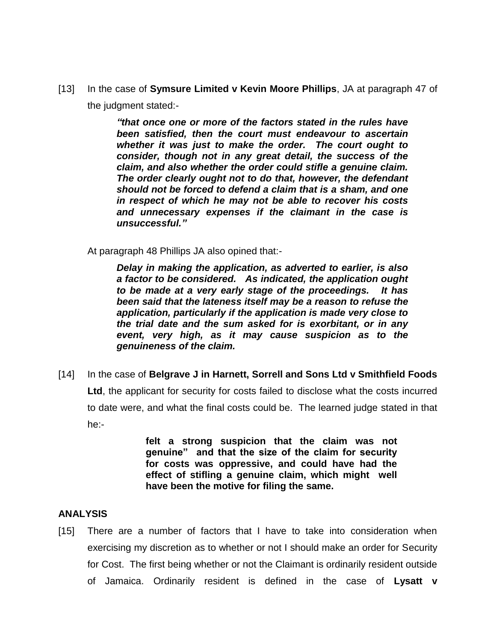[13] In the case of **Symsure Limited v Kevin Moore Phillips**, JA at paragraph 47 of the judgment stated:-

> *"that once one or more of the factors stated in the rules have been satisfied, then the court must endeavour to ascertain whether it was just to make the order. The court ought to consider, though not in any great detail, the success of the claim, and also whether the order could stifle a genuine claim. The order clearly ought not to do that, however, the defendant should not be forced to defend a claim that is a sham, and one in respect of which he may not be able to recover his costs and unnecessary expenses if the claimant in the case is unsuccessful."*

At paragraph 48 Phillips JA also opined that:-

 *Delay in making the application, as adverted to earlier, is also a factor to be considered. As indicated, the application ought to be made at a very early stage of the proceedings. It has been said that the lateness itself may be a reason to refuse the application, particularly if the application is made very close to the trial date and the sum asked for is exorbitant, or in any event, very high, as it may cause suspicion as to the genuineness of the claim.*

[14] In the case of **Belgrave J in Harnett, Sorrell and Sons Ltd v Smithfield Foods Ltd**, the applicant for security for costs failed to disclose what the costs incurred to date were, and what the final costs could be. The learned judge stated in that he:-

> **felt a strong suspicion that the claim was not genuine" and that the size of the claim for security for costs was oppressive, and could have had the effect of stifling a genuine claim, which might well have been the motive for filing the same.**

### **ANALYSIS**

[15] There are a number of factors that I have to take into consideration when exercising my discretion as to whether or not I should make an order for Security for Cost. The first being whether or not the Claimant is ordinarily resident outside of Jamaica. Ordinarily resident is defined in the case of **Lysatt v**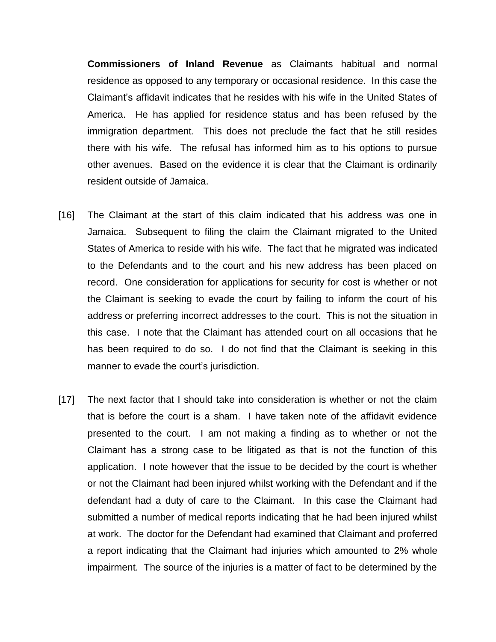**Commissioners of Inland Revenue** as Claimants habitual and normal residence as opposed to any temporary or occasional residence. In this case the Claimant's affidavit indicates that he resides with his wife in the United States of America. He has applied for residence status and has been refused by the immigration department. This does not preclude the fact that he still resides there with his wife. The refusal has informed him as to his options to pursue other avenues. Based on the evidence it is clear that the Claimant is ordinarily resident outside of Jamaica.

- [16] The Claimant at the start of this claim indicated that his address was one in Jamaica. Subsequent to filing the claim the Claimant migrated to the United States of America to reside with his wife. The fact that he migrated was indicated to the Defendants and to the court and his new address has been placed on record. One consideration for applications for security for cost is whether or not the Claimant is seeking to evade the court by failing to inform the court of his address or preferring incorrect addresses to the court. This is not the situation in this case. I note that the Claimant has attended court on all occasions that he has been required to do so. I do not find that the Claimant is seeking in this manner to evade the court's jurisdiction.
- [17] The next factor that I should take into consideration is whether or not the claim that is before the court is a sham. I have taken note of the affidavit evidence presented to the court. I am not making a finding as to whether or not the Claimant has a strong case to be litigated as that is not the function of this application. I note however that the issue to be decided by the court is whether or not the Claimant had been injured whilst working with the Defendant and if the defendant had a duty of care to the Claimant. In this case the Claimant had submitted a number of medical reports indicating that he had been injured whilst at work. The doctor for the Defendant had examined that Claimant and proferred a report indicating that the Claimant had injuries which amounted to 2% whole impairment. The source of the injuries is a matter of fact to be determined by the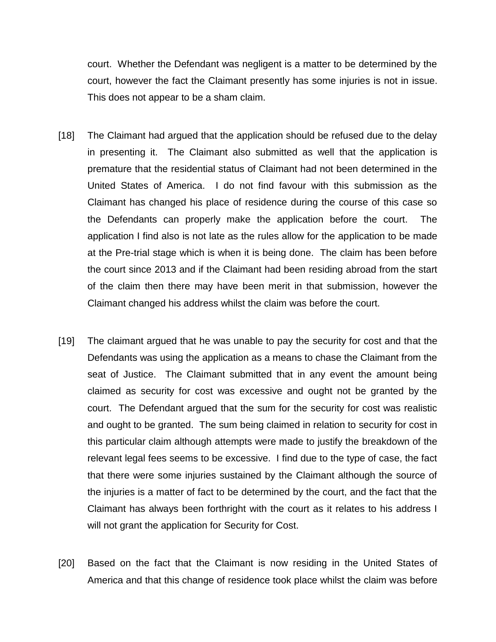court. Whether the Defendant was negligent is a matter to be determined by the court, however the fact the Claimant presently has some injuries is not in issue. This does not appear to be a sham claim.

- [18] The Claimant had argued that the application should be refused due to the delay in presenting it. The Claimant also submitted as well that the application is premature that the residential status of Claimant had not been determined in the United States of America. I do not find favour with this submission as the Claimant has changed his place of residence during the course of this case so the Defendants can properly make the application before the court. The application I find also is not late as the rules allow for the application to be made at the Pre-trial stage which is when it is being done. The claim has been before the court since 2013 and if the Claimant had been residing abroad from the start of the claim then there may have been merit in that submission, however the Claimant changed his address whilst the claim was before the court.
- [19] The claimant argued that he was unable to pay the security for cost and that the Defendants was using the application as a means to chase the Claimant from the seat of Justice. The Claimant submitted that in any event the amount being claimed as security for cost was excessive and ought not be granted by the court. The Defendant argued that the sum for the security for cost was realistic and ought to be granted. The sum being claimed in relation to security for cost in this particular claim although attempts were made to justify the breakdown of the relevant legal fees seems to be excessive. I find due to the type of case, the fact that there were some injuries sustained by the Claimant although the source of the injuries is a matter of fact to be determined by the court, and the fact that the Claimant has always been forthright with the court as it relates to his address I will not grant the application for Security for Cost.
- [20] Based on the fact that the Claimant is now residing in the United States of America and that this change of residence took place whilst the claim was before